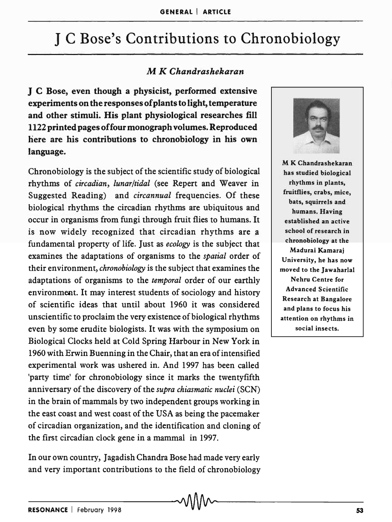# J C Bose's Contributions to Chronobiology

### M *K Chandrashekaran*

J C Bose, even though a physicist, performed extensive experiments on the responses of plants to light, temperature and other stimuli. His plant physiological researches fill 1122 printed pages offour monograph volumes. Reproduced here are his contributions to chronobiology in his own language.

Chronobiology is the subject of the scientific study of biological rhythms of *circadian, lunar/tidal* (see Repert and Weaver in Suggested Reading) and *circannual* frequencies. Of these biological rhythms the circadian rhythms are ubiquitous and occur in organisms from fungi through fruit flies to humans. It is now widely recognized that circadian rhythms are a fundamental property of life. Just as *ecology* is the subject that examines the adaptations of organisms to the *spatial* order of their environment, *chronobiology* is the subject that examines the adaptations of organisms to the *temporal* order of our earthly environment. It may interest students of sociology and history of scientific ideas that until about 1960 it was considered unscientific to proclaim the very existence of biological rhythms even by some erudite biologists. It was with the symposium on Biological Clocks held at Cold Spring Harbour in New York in 1960 with Erwin Buenning in the Chair, that an era of intensified experimental work was ushered in. And 1997 has been called 'party time' for chronobiology since it marks the twentyfifth anniversary of the discovery of the *supra chiasmatic nuclei* (SCN) in the brain of mammals by two independent groups working in the east coast and west coast of the USA as being the pacemaker of circadian organization, and the identification and cloning of the first circadian clock gene in a mammal in 1997.

In our own country, Jagadish Chandra Bose had made very early and very important contributions to the field of chronobiology



M K Chandrashekaran has studied biological rhythms in plants, fruitflies, crabs, mice, bats, squirrels and humans. Having established an active school of research in chronobiology at the Madurai Kamara; University, he has now moved to the Jawaharlal Nehru Centre for Advanced Scientific Research at Bangalore and plans to focus his attention on rhythms in social insects.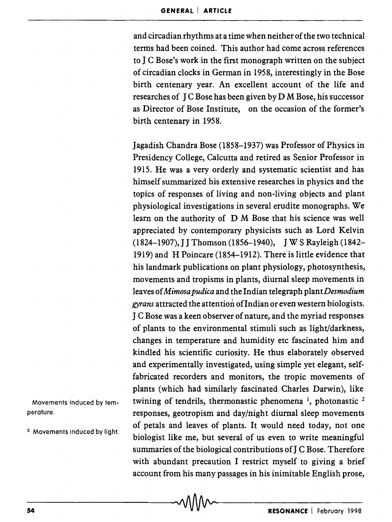and circadian rhythms at a time when neither of the two technical terms had been coined. This author had come across references to J C Bose's work in the first monograph written on the subject of circadian clocks in German in 1958, interestingly in the Bose birth centenary year. An excellent account of the life and researches of J C Bose has been given by D M Bose, his successor as Director of Bose Institute, on the occasion of the former's birth centenary in 1958.

Jagadish Chandra Bose (1858-1937) was Professor of Physics in Presidency College, Calcutta and retired as Senior Professor in 1915. He was a very orderly and systematic scientist and has himself summarized his extensive researches in physics and the topics of responses of living and non-living objects and plant physiological investigations in several erudite monographs. We learn on the authority of D M Bose that his science was well appreciated by contemporary physicists such as Lord Kelvin (1824-1907), J J Thomson (1856-1940), J W S Rayleigh (1842- 1919) and H Poincare (1854-1912). There is little evidence that his landmark publications on plant physiology, photosynthesis, movements and tropisms in plants, diurnal sleep movements in leaves of *Mimosa pudica* and the Indian telegraph plant *Desmodium gyrans* attracted the attention of Indian or even western biologists. J C Bose was a keen observer of nature, and the myriad responses of plants to the environmental stimuli such as light/darkness, changes in temperature and humidity etc fascinated him and kindled his scientific curiosity. He thus elaborately observed and experimentally investigated, using simple yet elegant, selffabricated recorders and monitors, the tropic movements of plants (which had similarly fascinated Charles Darwin), like twining of tendrils, thermonastic phenomena  $\frac{1}{2}$ , photonastic  $\frac{2}{3}$ responses, geotropism and day/night diurnal sleep movements of petals and leaves of plants. It would need today, not one biologist like me, but several of us even to write meaningful summaries of the biological contributions of J C Bose. Therefore with abundant precaution I restrict myself to giving a brief  $\alpha$  account from his many passages in his inimitable English prose,<br> $\alpha$ <br> $\alpha$ 

Movements induced by temperature.

2 Movements induced by light.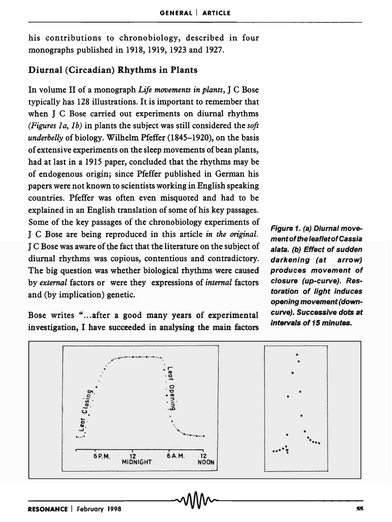his contributions to chronobiology, described in four monographs published in 1918, 1919, 1923 and 1927.

### Diurnal (Circadian) Rhythms in Plants

In volume II of a monograph *Life movements in plants,* J C Bose typically has 128 illustrations. It is important to remember that when J C Bose carried out experiments on diurnal rhythms *(Figures 1a, 1b)* in plants the subject was still considered the *soft underbelly* of biology. Wilhelm Pfeffer (1845-1920), on the basis of extensive experiments on the sleep movements of bean plants, had at last in a 1915 paper, concluded that the rhythms may be of endogenous origin; since Pfeffer published in German his papers were not known to scientists working in English speaking countries. Pfeffer was often even misquoted and had to be explained in an English translation of some of his key passages. Some of the key passages of the chronobiology experiments of J C Bose are being reproduced in this article *in the original.*  J C Bose was aware of the fact that the literature on the subject of diurnal rhythms was copious, contentious and contradictory. The big question was whether biological rhythms were caused by *external* factors or were they expressions of *internal* factors and (by implication) genetic.

Bose writes "... after a good many years of experimental investigation, I have succeeded in analysing the main factors

Figure 1. (a) Diurnal movement of the leaf/etof Cassia alata. (b) Effect of sudden darkening (at arrow) produces movement of closure (up-curve). Restoration of light induces opening movement (downcurve). Successive dots at intervals of 15 minutes.

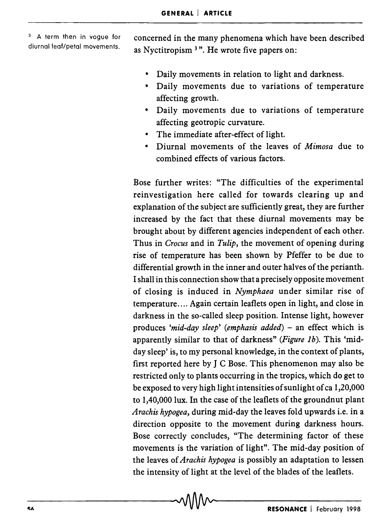3 A term then in vogue for diurnal leaf/petal movements. concerned in the many phenomena which have been described as Nyctitropism 3". He wrote five papers on:

- Daily movements in relation to light and darkness.
- Daily movements due to variations of temperature affecting growth.
- Daily movements due to variations of temperature affecting geotropic curvature.
- The immediate after-effect of light.
- Diurnal movements of the leaves of *Mimosa* due to combined effects of various factors.

Bose further writes: "The difficulties of the experimental reinvestigation here called for towards clearing up and explanation of the subject are sufficiently great, they are further increased by the fact that these diurnal movements may be brought about by different agencies independent of each other. Thus in *Crocus* and in *Tulip,* the movement of opening during rise of temperature has been shown by Pfeffer to be due to differential growth in the inner and outer halves of the perianth. I shall in this connection show that a precisely opposite movement of closing is induced in *Nymphaea* under similar rise of temperature .... Again certain leaflets open in light, and close in darkness in the so-called sleep position. Intense light, however produces 'mid-day sleep' (emphasis added) – an effect which is apparently similar to that of darkness" *(Figure 1b)*. This 'midday sleep' is, to my personal knowledge, in the context of plants, first reported here by J C Bose. This phenomenon may also be restricted only to plants occurring in the tropics, which do get to be exposed to very high light intensities of sunlight of ca 1,20,000 to 1,40,000 lux. In the case of the leaflets of the groundnut plant *Arachis hypogea,* during mid-day the leaves fold upwards i.e. in a direction opposite to the movement during darkness hours. Bose correctly concludes, "The determining factor of these movements is the variation of light". The mid-day position of the leaves of *Arachis hypogea* is possibly an adaptation to lessen the intensity of light at the level of the blades of the leaflets.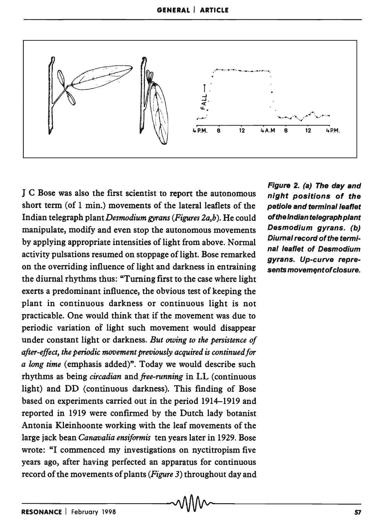

J C Bose was also the first scientist to report the autonomous short term (of 1 min.) movements of the lateral leaflets of the Indian telegraph *plantDesmodiumgyrans (Figures 2a,b).* He could manipulate, modify and even stop the autonomous movements by applying appropriate intensities of light from above. Normal activity pulsations resumed on stoppage of light. Bose remarked on the overriding influence of light and darkness in entraining the diurnal rhythms thus: "Turning first to the case where light exerts a predominant influence, the obvious test of keeping the plant in continuous darkness or continuous light is not practicable. One would think that if the movement was due to periodic variation of light such movement would disappear under constant light or darkness. *But owing to the persistence of after-effect, the periodic movement previously acquired is continued for a long time* (emphasis added)". Today we would describe such rhythms as being *circadian* and *free-running* in LL (continuous light) and DD (continuous darkness). This finding of Bose based on experiments carried out in the period 1914-1919 and reported in 1919 were confirmed by the Dutch lady botanist Antonia Kleinhoonte working with the leaf movements of the large jack bean *Canavalia ensiformis* ten years later in 1929. Bose wrote: "I commenced my investigations on nyctitropism five years ago, after having perfected an apparatus for continuous record of the movements of plants *(Figure* 3) throughout day and

Figure 2. (a) The day and night positions of the petiole and terminal leaflet of the Indian telegraph plant Desmodium gyrans. (b) Diurnal record of the terminal leaflet of Desmodium gyrans. Up-curve represents movement of closure.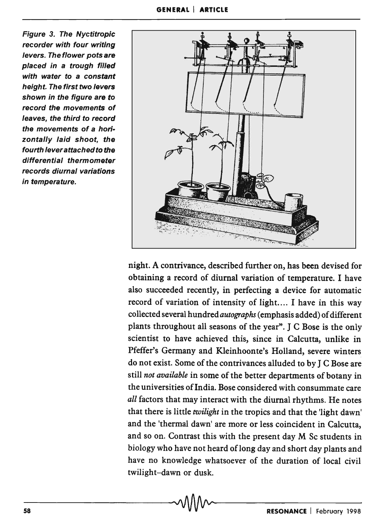Figure 3. The Nyctitropic recorder with four writing levers. The flower pots are placed in a trough filled with water to a constant height. The first two levers shown in the figure are to record the movements of leaves, the third to record the movements of a horizontally laid shoot, the fourth lever attached to the differential thermometer records diurnal variations in temperature.



night. A contrivance, described further on, has been devised for obtaining a record of diurnal variation of temperature. I have also succeeded recently, in perfecting a device for automatic record of variation of intensity of light.... I have in this way collected several hundred *autographs* (emphasis added) of different plants throughout all seasons of the year". J C Bose is the only scientist to have achieved this, since in Calcutta, unlike in Pfeffer's Germany and Kleinhoonte's Holland, severe winters do not exist. Some of the contrivances alluded to by J C Bose are still *not available* in some of the better departments of botany in the universities of India. Bose considered with consummate care *all* factors that may interact with the diurnal rhythms. He notes that there is little *twilight* in the tropics and that the 'light dawn' and the 'thermal dawn' are more or less coincident in Calcutta, and so on. Contrast this with the present day M Sc students in biology who have not heard of long day and short day plants and have no knowledge whatsoever of the duration of local civil twilight-dawn or dusk.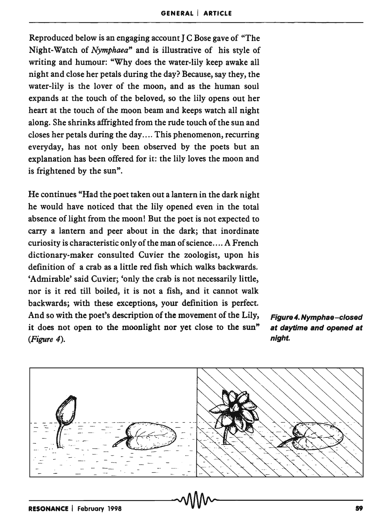Reproduced below is an engaging account I C Bose gave of "The Night-Watch of *Nymphaea"* and is illustrative of his style of writing and humour: "Why does the water-lily keep awake all night and close her petals during the day? Because, say they, the water-lily is the lover of the moon, and as the human soul expands at the touch of the beloved, so the lily opens out her heart at the touch of the moon beam and keeps watch all night along. She shrinks affrighted from the rude touch of the sun and closes her petals during the day .... This phenomenon, recurring everyday, has not only been observed by the poets but an explanation has been offered for it: the lily loves the moon and is frightened by the sun".

He continues "Had the poet taken out a lantern in the dark night he would have noticed that the lily opened even in the total absence of light from the moon! But the poet is not expected to carry a lantern and peer about in the dark; that inordinate curiosity is characteristic only of the man of science .... A French dictionary-maker consulted Cuvier the zoologist, upon his definition of a crab as a little red fish which walks backwards. 'Admirable' said Cuvier; 'only the crab is not necessarily little, nor is it red till boiled, it is not a fish, and it cannot walk backwards; with these exceptions, your definition is perfect. And so with the poet's description of the movement of the Lily, it does not open to the moonlight nor yet close to the sun" *(Figure 4).* 



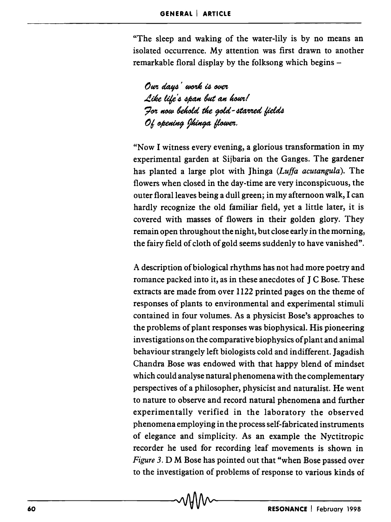"The sleep and waking of the water-lily is by no means an isolated occurrence. My attention was first drawn to another remarkable floral display by the folksong which begins -

Our days' work is over Like life's span but an hour! For now behold the gold-starred fields Of opening Ihinga flower.

"Now I witness every evening, a glorious transformation in my experimental garden at Sijbaria on the Ganges. The gardener has planted a large plot with Jhinga *(Luffa acutangula).* The flowers when closed in the day-time are very inconspicuous, the outer floral leaves being a dull green; in my afternoon walk, I can hardly recognize the old familiar field, yet a little later, it is covered with masses of flowers in their golden glory. They remain open throughout the night, but close early in the morning, the fairy field of cloth of gold seems suddenly to have vanished".

A description of biological rhythms has not had more poetry and romance packed into it, as in these anecdotes of J C Bose. These extracts are made from over 1122 printed pages on the theme of responses of plants to environmental and experimental stimuli contained in four volumes. As a physicist Bose's approaches to the problems of plant responses was biophysical. His pioneering investigations on the comparative biophysics of plant and animal behaviour strangely left biologists cold and indifferent. Jagadish Chandra Bose was endowed with that happy blend of mindset which could analyse natural phenomena with the complementary perspectives of a philosopher, physicist and naturalist. He went to nature to observe and record natural phenomena and further experimentally verified in the laboratory the observed phenomena employing in the process self-fabricated instruments of elegance and simplicity. As an example the Nyctitropic recorder he used for recording leaf movements is shown in *Figure* 3. D M Bose has pointed out that "when Bose passed over to the investigation of problems of response to various kinds of